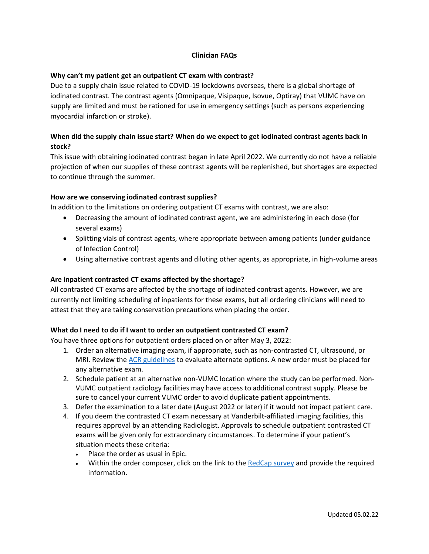### **Clinician FAQs**

### **Why can't my patient get an outpatient CT exam with contrast?**

Due to a supply chain issue related to COVID-19 lockdowns overseas, there is a global shortage of iodinated contrast. The contrast agents (Omnipaque, Visipaque, Isovue, Optiray) that VUMC have on supply are limited and must be rationed for use in emergency settings (such as persons experiencing myocardial infarction or stroke).

## **When did the supply chain issue start? When do we expect to get iodinated contrast agents back in stock?**

This issue with obtaining iodinated contrast began in late April 2022. We currently do not have a reliable projection of when our supplies of these contrast agents will be replenished, but shortages are expected to continue through the summer.

#### **How are we conserving iodinated contrast supplies?**

In addition to the limitations on ordering outpatient CT exams with contrast, we are also:

- Decreasing the amount of iodinated contrast agent, we are administering in each dose (for several exams)
- Splitting vials of contrast agents, where appropriate between among patients (under guidance of Infection Control)
- Using alternative contrast agents and diluting other agents, as appropriate, in high-volume areas

### **Are inpatient contrasted CT exams affected by the shortage?**

All contrasted CT exams are affected by the shortage of iodinated contrast agents. However, we are currently not limiting scheduling of inpatients for these exams, but all ordering clinicians will need to attest that they are taking conservation precautions when placing the order.

#### **What do I need to do if I want to order an outpatient contrasted CT exam?**

You have three options for outpatient orders placed on or after May 3, 2022:

- 1. Order an alternative imaging exam, if appropriate, such as non-contrasted CT, ultrasound, or MRI. Review th[e ACR guidelines](https://www.acr.org/Clinical-Resources/ACR-Appropriateness-Criteria) to evaluate alternate options. A new order must be placed for any alternative exam.
- 2. Schedule patient at an alternative non-VUMC location where the study can be performed. Non-VUMC outpatient radiology facilities may have access to additional contrast supply. Please be sure to cancel your current VUMC order to avoid duplicate patient appointments.
- 3. Defer the examination to a later date (August 2022 or later) if it would not impact patient care.
- 4. If you deem the contrasted CT exam necessary at Vanderbilt-affiliated imaging facilities, this requires approval by an attending Radiologist. Approvals to schedule outpatient contrasted CT exams will be given only for extraordinary circumstances. To determine if your patient's situation meets these criteria:
	- Place the order as usual in Epic.
	- Within the order composer, click on the link to the [RedCap survey](https://nam12.safelinks.protection.outlook.com/?url=https%3A%2F%2Fredcap.vanderbilt.edu%2Fsurveys%2F%3Fs%3DFKEHWXARRF38PKCW&data=05%7C01%7Cchad.fitzgerald%40vumc.org%7Caace176aad4742fb232e08da2c79f43a%7Cef57503014244ed8b83c12c533d879ab%7C0%7C0%7C637871199540816568%7CUnknown%7CTWFpbGZsb3d8eyJWIjoiMC4wLjAwMDAiLCJQIjoiV2luMzIiLCJBTiI6Ik1haWwiLCJXVCI6Mn0%3D%7C3000%7C%7C%7C&sdata=2wcWg6bCOE9oYXhDTSxdxcu93Radq3tUMYKiUDprBTE%3D&reserved=0) and provide the required information.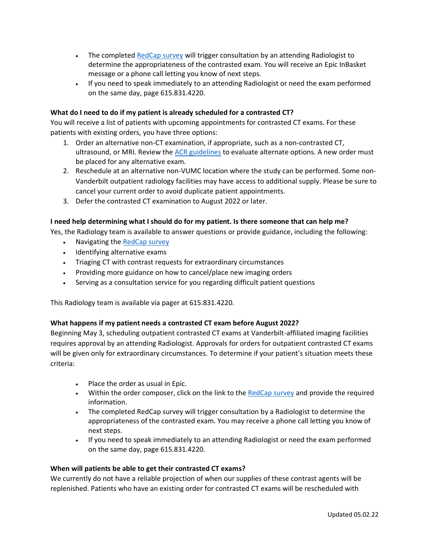- The complete[d RedCap survey](https://nam12.safelinks.protection.outlook.com/?url=https%3A%2F%2Fredcap.vanderbilt.edu%2Fsurveys%2F%3Fs%3DFKEHWXARRF38PKCW&data=05%7C01%7Cchad.fitzgerald%40vumc.org%7Caace176aad4742fb232e08da2c79f43a%7Cef57503014244ed8b83c12c533d879ab%7C0%7C0%7C637871199540816568%7CUnknown%7CTWFpbGZsb3d8eyJWIjoiMC4wLjAwMDAiLCJQIjoiV2luMzIiLCJBTiI6Ik1haWwiLCJXVCI6Mn0%3D%7C3000%7C%7C%7C&sdata=2wcWg6bCOE9oYXhDTSxdxcu93Radq3tUMYKiUDprBTE%3D&reserved=0) will trigger consultation by an attending Radiologist to determine the appropriateness of the contrasted exam. You will receive an Epic InBasket message or a phone call letting you know of next steps.
- If you need to speak immediately to an attending Radiologist or need the exam performed on the same day, page 615.831.4220.

### **What do I need to do if my patient is already scheduled for a contrasted CT?**

You will receive a list of patients with upcoming appointments for contrasted CT exams. For these patients with existing orders, you have three options:

- 1. Order an alternative non-CT examination, if appropriate, such as a non-contrasted CT, ultrasound, or MRI. Review th[e ACR guidelines](https://www.acr.org/Clinical-Resources/ACR-Appropriateness-Criteria) to evaluate alternate options. A new order must be placed for any alternative exam.
- 2. Reschedule at an alternative non-VUMC location where the study can be performed. Some non-Vanderbilt outpatient radiology facilities may have access to additional supply. Please be sure to cancel your current order to avoid duplicate patient appointments.
- 3. Defer the contrasted CT examination to August 2022 or later.

### **I need help determining what I should do for my patient. Is there someone that can help me?**

Yes, the Radiology team is available to answer questions or provide guidance, including the following:

- Navigating the [RedCap survey](https://nam12.safelinks.protection.outlook.com/?url=https%3A%2F%2Fredcap.vanderbilt.edu%2Fsurveys%2F%3Fs%3DFKEHWXARRF38PKCW&data=05%7C01%7Cchad.fitzgerald%40vumc.org%7Caace176aad4742fb232e08da2c79f43a%7Cef57503014244ed8b83c12c533d879ab%7C0%7C0%7C637871199540816568%7CUnknown%7CTWFpbGZsb3d8eyJWIjoiMC4wLjAwMDAiLCJQIjoiV2luMzIiLCJBTiI6Ik1haWwiLCJXVCI6Mn0%3D%7C3000%7C%7C%7C&sdata=2wcWg6bCOE9oYXhDTSxdxcu93Radq3tUMYKiUDprBTE%3D&reserved=0)
- Identifying alternative exams
- Triaging CT with contrast requests for extraordinary circumstances
- Providing more guidance on how to cancel/place new imaging orders
- Serving as a consultation service for you regarding difficult patient questions

This Radiology team is available via pager at 615.831.4220.

### **What happens if my patient needs a contrasted CT exam before August 2022?**

Beginning May 3, scheduling outpatient contrasted CT exams at Vanderbilt-affiliated imaging facilities requires approval by an attending Radiologist. Approvals for orders for outpatient contrasted CT exams will be given only for extraordinary circumstances. To determine if your patient's situation meets these criteria:

- Place the order as usual in Epic.
- Within the order composer, click on the link to the [RedCap survey](https://nam12.safelinks.protection.outlook.com/?url=https%3A%2F%2Fredcap.vanderbilt.edu%2Fsurveys%2F%3Fs%3DFKEHWXARRF38PKCW&data=05%7C01%7Cchad.fitzgerald%40vumc.org%7Caace176aad4742fb232e08da2c79f43a%7Cef57503014244ed8b83c12c533d879ab%7C0%7C0%7C637871199540816568%7CUnknown%7CTWFpbGZsb3d8eyJWIjoiMC4wLjAwMDAiLCJQIjoiV2luMzIiLCJBTiI6Ik1haWwiLCJXVCI6Mn0%3D%7C3000%7C%7C%7C&sdata=2wcWg6bCOE9oYXhDTSxdxcu93Radq3tUMYKiUDprBTE%3D&reserved=0) and provide the required information.
- The completed RedCap survey will trigger consultation by a Radiologist to determine the appropriateness of the contrasted exam. You may receive a phone call letting you know of next steps.
- If you need to speak immediately to an attending Radiologist or need the exam performed on the same day, page 615.831.4220.

### **When will patients be able to get their contrasted CT exams?**

We currently do not have a reliable projection of when our supplies of these contrast agents will be replenished. Patients who have an existing order for contrasted CT exams will be rescheduled with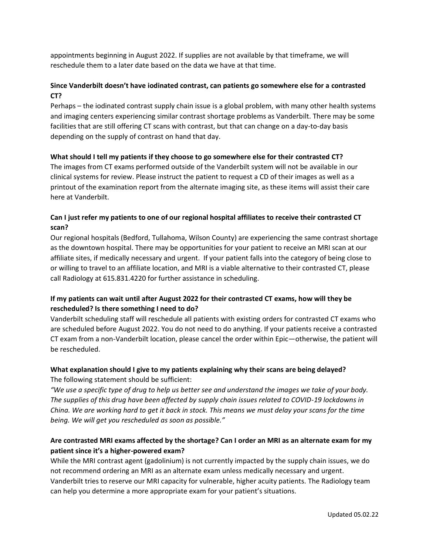appointments beginning in August 2022. If supplies are not available by that timeframe, we will reschedule them to a later date based on the data we have at that time.

# **Since Vanderbilt doesn't have iodinated contrast, can patients go somewhere else for a contrasted CT?**

Perhaps – the iodinated contrast supply chain issue is a global problem, with many other health systems and imaging centers experiencing similar contrast shortage problems as Vanderbilt. There may be some facilities that are still offering CT scans with contrast, but that can change on a day-to-day basis depending on the supply of contrast on hand that day.

### **What should I tell my patients if they choose to go somewhere else for their contrasted CT?**

The images from CT exams performed outside of the Vanderbilt system will not be available in our clinical systems for review. Please instruct the patient to request a CD of their images as well as a printout of the examination report from the alternate imaging site, as these items will assist their care here at Vanderbilt.

## **Can I just refer my patients to one of our regional hospital affiliates to receive their contrasted CT scan?**

Our regional hospitals (Bedford, Tullahoma, Wilson County) are experiencing the same contrast shortage as the downtown hospital. There may be opportunities for your patient to receive an MRI scan at our affiliate sites, if medically necessary and urgent. If your patient falls into the category of being close to or willing to travel to an affiliate location, and MRI is a viable alternative to their contrasted CT, please call Radiology at 615.831.4220 for further assistance in scheduling.

# **If my patients can wait until after August 2022 for their contrasted CT exams, how will they be rescheduled? Is there something I need to do?**

Vanderbilt scheduling staff will reschedule all patients with existing orders for contrasted CT exams who are scheduled before August 2022. You do not need to do anything. If your patients receive a contrasted CT exam from a non-Vanderbilt location, please cancel the order within Epic—otherwise, the patient will be rescheduled.

### **What explanation should I give to my patients explaining why their scans are being delayed?** The following statement should be sufficient:

*"We use a specific type of drug to help us better see and understand the images we take of your body. The supplies of this drug have been affected by supply chain issues related to COVID-19 lockdowns in China. We are working hard to get it back in stock. This means we must delay your scans for the time being. We will get you rescheduled as soon as possible."*

# **Are contrasted MRI exams affected by the shortage? Can I order an MRI as an alternate exam for my patient since it's a higher-powered exam?**

While the MRI contrast agent (gadolinium) is not currently impacted by the supply chain issues, we do not recommend ordering an MRI as an alternate exam unless medically necessary and urgent. Vanderbilt tries to reserve our MRI capacity for vulnerable, higher acuity patients. The Radiology team can help you determine a more appropriate exam for your patient's situations.